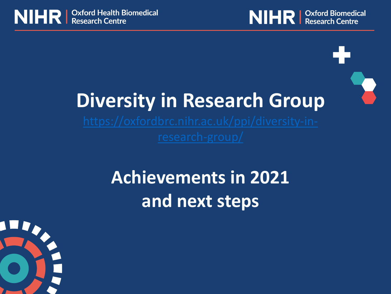



# **Diversity in Research Group**

## **Achievements in 2021 and next steps**

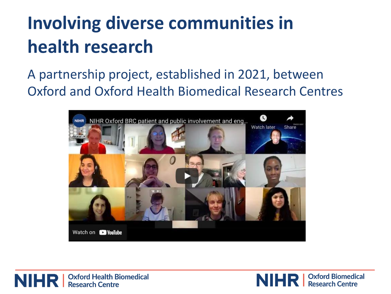# **Involving diverse communities in health research**

#### A partnership project, established in 2021, between Oxford and Oxford Health Biomedical Research Centres





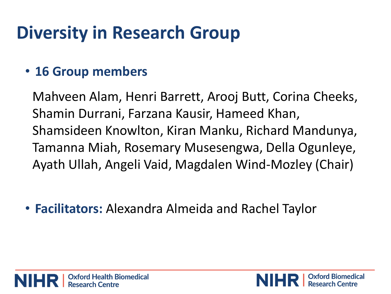## **Diversity in Research Group**

#### • **16 Group members**

Mahveen Alam, Henri Barrett, Arooj Butt, Corina Cheeks, Shamin Durrani, Farzana Kausir, Hameed Khan, Shamsideen Knowlton, Kiran Manku, Richard Mandunya, Tamanna Miah, Rosemary Musesengwa, Della Ogunleye, Ayath Ullah, Angeli Vaid, Magdalen Wind-Mozley (Chair)

• **Facilitators:** Alexandra Almeida and Rachel Taylor



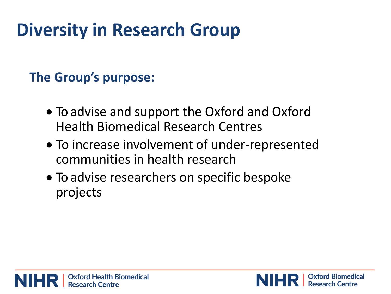## **Diversity in Research Group**

#### **The Group's purpose:**

- To advise and support the Oxford and Oxford Health Biomedical Research Centres
- To increase involvement of under-represented communities in health research
- To advise researchers on specific bespoke projects

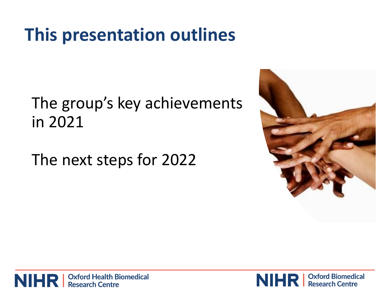## **This presentation outlines**

### The group's key achievements in 2021

The next steps for 2022





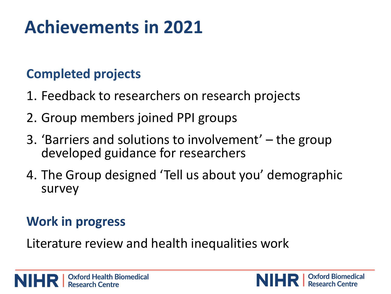# **Achievements in 2021**

#### **Completed projects**

- 1. Feedback to researchers on research projects
- 2. Group members joined PPI groups
- 3. 'Barriers and solutions to involvement' the group developed guidance for researchers
- 4. The Group designed 'Tell us about you' demographic survey

#### **Work in progress**

Literature review and health inequalities work

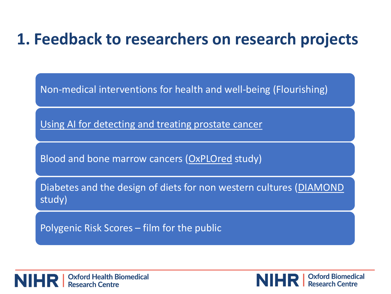### **1. Feedback to researchers on research projects**

Non-medical interventions for health and well-being (Flourishing)

[Using AI for detecting and treating prostate cancer](https://www.ludwig.ox.ac.uk/news/artificial-intelligence-tool-for-streamlining-pathology-workflow)

Blood and bone marrow cancers ([OxPLOred](https://www.oncology.ox.ac.uk/clinical-trials/oncology-clinical-trials-office-octo/current-trials/oxplored) study)

Diabetes and the design of diets for non western cultures ([DIAMOND](https://www.phc.ox.ac.uk/research/participate/diamond)  study)

Polygenic Risk Scores – film for the public

| Oxford Health Biomedical **Research Centre** 

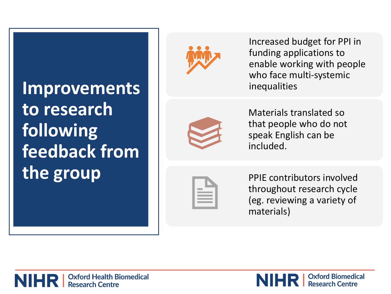## **Improvements to research following feedback from the group**



Increased budget for PPI in funding applications to enable working with people who face multi -systemic inequalities



Materials translated so that people who do not speak English can be included.

PPIE contributors involved throughout research cycle (eg. reviewing a variety of materials)

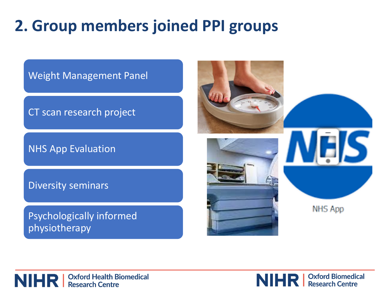### **2. Group members joined PPI groups**



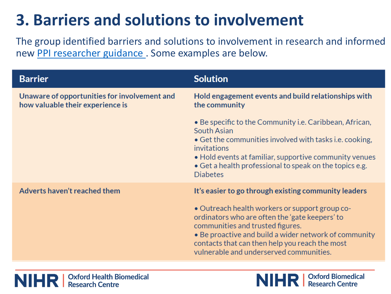### **3. Barriers and solutions to involvement**

The group identified barriers and solutions to involvement in research and informed new [PPI researcher guidance](https://oxfordbrc.nihr.ac.uk/ppi/ppi-researcher-guidance/what-is-patient-and-public-involvement/) . Some examples are below.

| <b>Barrier</b>                                                                   | <b>Solution</b>                                                                                                                                                                                                                                                                                                                                    |  |  |
|----------------------------------------------------------------------------------|----------------------------------------------------------------------------------------------------------------------------------------------------------------------------------------------------------------------------------------------------------------------------------------------------------------------------------------------------|--|--|
| Unaware of opportunities for involvement and<br>how valuable their experience is | Hold engagement events and build relationships with<br>the community                                                                                                                                                                                                                                                                               |  |  |
|                                                                                  | • Be specific to the Community i.e. Caribbean, African,<br>South Asian<br>• Get the communities involved with tasks i.e. cooking,<br>invitations<br>• Hold events at familiar, supportive community venues<br>• Get a health professional to speak on the topics e.g.<br><b>Diabetes</b>                                                           |  |  |
| Adverts haven't reached them                                                     | It's easier to go through existing community leaders<br>• Outreach health workers or support group co-<br>ordinators who are often the 'gate keepers' to<br>communities and trusted figures.<br>• Be proactive and build a wider network of community<br>contacts that can then help you reach the most<br>vulnerable and underserved communities. |  |  |

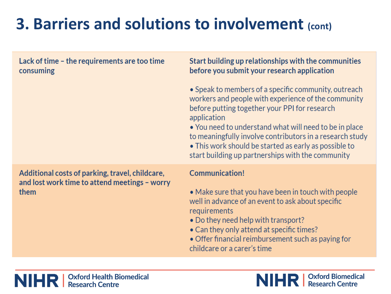### **3. Barriers and solutions to involvement (cont)**

| Lack of time - the requirements are too time<br>consuming                                                | Start building up relationships with the communities<br>before you submit your research application                                                                                                                                                                                                                                                                                                             |  |  |
|----------------------------------------------------------------------------------------------------------|-----------------------------------------------------------------------------------------------------------------------------------------------------------------------------------------------------------------------------------------------------------------------------------------------------------------------------------------------------------------------------------------------------------------|--|--|
|                                                                                                          | • Speak to members of a specific community, outreach<br>workers and people with experience of the community<br>before putting together your PPI for research<br>application<br>• You need to understand what will need to be in place<br>to meaningfully involve contributors in a research study<br>• This work should be started as early as possible to<br>start building up partnerships with the community |  |  |
| Additional costs of parking, travel, childcare,<br>and lost work time to attend meetings - worry<br>them | <b>Communication!</b><br>• Make sure that you have been in touch with people<br>well in advance of an event to ask about specific<br>requirements                                                                                                                                                                                                                                                               |  |  |

- . Do they need help with transport?
- Can they only attend at specific times?
- . Offer financial reimbursement such as paying for childcare or a carer's time

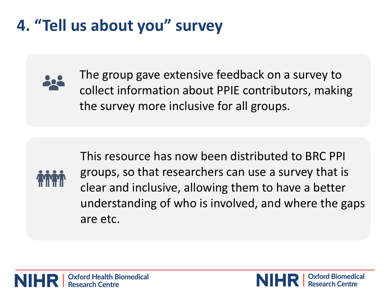## **4. "Tell us about you" survey**



The group gave extensive feedback on a survey to collect information about PPIE contributors, making the survey more inclusive for all groups.



This resource has now been distributed to BRC PPI groups, so that researchers can use a survey that is clear and inclusive, allowing them to have a better understanding of who is involved, and where the gaps are etc.

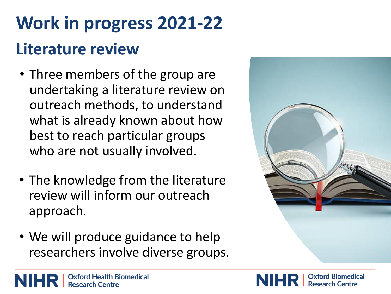# **Work in progress 2021-22 Literature review**

- Three members of the group are undertaking a literature review on outreach methods, to understand what is already known about how best to reach particular groups who are not usually involved.
- The knowledge from the literature review will inform our outreach approach.
- We will produce guidance to help researchers involve diverse groups.



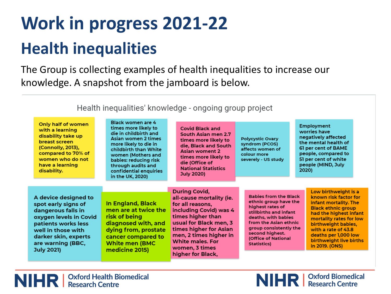# **Work in progress 2021-22 Health inequalities**

The Group is collecting examples of health inequalities to increase our knowledge. A snapshot from the jamboard is below.

Health inequalities' knowledge - ongoing group project

| Only half of women<br>with a learning<br>disability take up<br>breast screen<br>(Connolly, 2013),<br>compared to 70% of<br>women who do not<br>have a learning<br>disability.                              | <b>Black women are 4</b><br>times more likely to<br>die in childbirth and<br>Asian women 2 times<br>more likely to die in<br>childbirth than White<br>women (Mothers and<br>babies: reducing risk<br>through audits and<br>confidential enquiries<br>in the UK, 2020) | <b>Covid Black and</b><br>South Asian men 2.7<br>times more likely to<br>die, Black and South<br>Asian woment 2<br>times more likely to<br>die (Office of<br><b>National Statistics</b><br><b>July 2020)</b>                                                        | <b>Polycystic Ovary</b><br>syndrom (PCOS)<br>affects women of<br>colour more<br>severely - US study                                                                                                                                            | <b>Employment</b><br>worries have<br>negatively affected<br>the mental health of<br>61 per cent of BAME<br>people, compared to<br>51 per cent of white<br>people (MIND, July<br>2020)                                                                                       |
|------------------------------------------------------------------------------------------------------------------------------------------------------------------------------------------------------------|-----------------------------------------------------------------------------------------------------------------------------------------------------------------------------------------------------------------------------------------------------------------------|---------------------------------------------------------------------------------------------------------------------------------------------------------------------------------------------------------------------------------------------------------------------|------------------------------------------------------------------------------------------------------------------------------------------------------------------------------------------------------------------------------------------------|-----------------------------------------------------------------------------------------------------------------------------------------------------------------------------------------------------------------------------------------------------------------------------|
| A device designed to<br>spot early signs of<br>dangerous falls in<br>oxygen levels in Covid<br>patients works less<br>well in those with<br>darker skin, experts<br>are warning (BBC,<br><b>July 2021)</b> | In England, Black<br>men are at twice the<br>risk of being<br>diagnosed with, and<br>dying from, prostate<br>cancer compared to<br><b>White men (BMC</b><br>medicine 2015)                                                                                            | <b>During Covid,</b><br>all-cause mortality (ie.<br>for all reasons,<br>including Covid) was 4<br>times higher than<br>usual for Black men, 3<br>times higher for Asian<br>men, 2 times higher in<br><b>White males, For</b><br>women, 3 times<br>higher for Black, | <b>Babies from the Black</b><br>ethnic group have the<br>highest rates of<br>stillbirths and infant<br>deaths, with babies<br>from the Asian ethnic<br>group consistently the<br>second highest.<br>(Office of National<br><b>Statistics</b> ) | Low birthweight is a<br>known risk factor for<br>infant mortality. The<br><b>Black ethnic group</b><br>had the highest infant<br>mortality rates for low<br>birthweight babies,<br>with a rate of 43.8<br>deaths per 1,000 low<br>birthweight live births<br>in 2019. (ONS) |

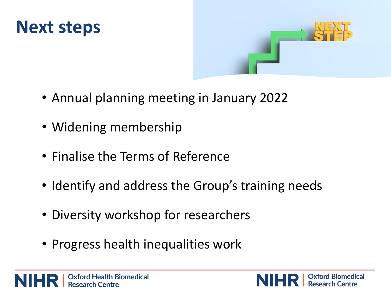



- Annual planning meeting in January 2022
- Widening membership
- Finalise the Terms of Reference
- Identify and address the Group's training needs
- Diversity workshop for researchers
- Progress health inequalities work